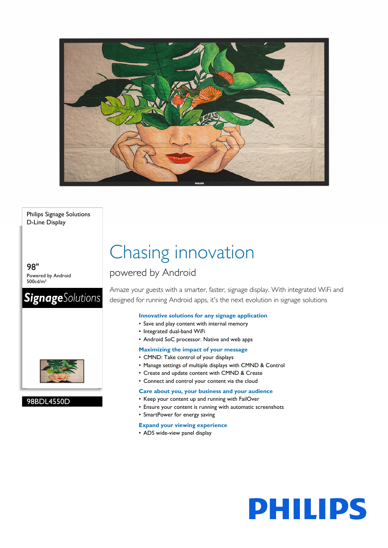

Philips Signage Solutions D-Line Display

98" Powered by Android 500cd/m²

## **Signage**Solutions



98BDL4550D

## Chasing innovation

### powered by Android

Amaze your guests with a smarter, faster, signage display. With integrated WiFi and designed for running Android apps, it's the next evolution in signage solutions

#### **Innovative solutions for any signage application**

- Save and play content with internal memory
- Integrated dual-band WiFi
- Android SoC processor. Native and web apps

#### **Maximizing the impact of your message**

- CMND: Take control of your displays
- Manage settings of multiple displays with CMND & Control
- Create and update content with CMND & Create
- Connect and control your content via the cloud

#### **Care about you, your business and your audience**

- Keep your content up and running with FailOver
- Ensure your content is running with automatic screenshots
- SmartPower for energy saving

#### **Expand your viewing experience**

• ADS wide-view panel display

# **PHILIPS**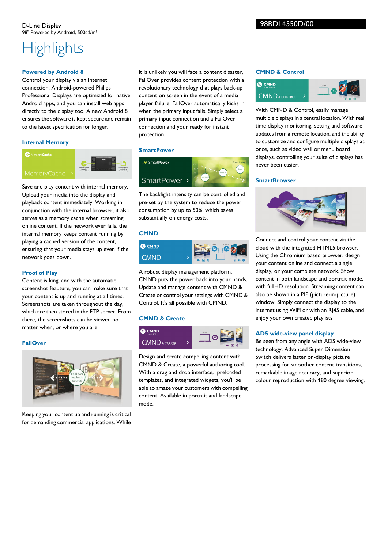## **Highlights**

#### **Powered by Android 8**

Control your display via an Internet connection. Android-powered Philips Professional Displays are optimized for native Android apps, and you can install web apps directly to the display too. A new Android 8 ensures the software is kept secure and remain to the latest specification for longer.

#### **Internal Memory**



Save and play content with internal memory. Upload your media into the display and playback content immediately. Working in conjunction with the internal browser, it also serves as a memory cache when streaming online content. If the network ever fails, the internal memory keeps content running by playing a cached version of the content, ensuring that your media stays up even if the network goes down.

#### **Proof of Play**

Content is king, and with the automatic screenshot feauture, you can make sure that your content is up and running at all times. Screenshots are taken throughout the day, which are then stored in the FTP server. From there, the screenshots can be viewed no matter when, or where you are.

#### **FailOver**



Keeping your content up and running is critical for demanding commercial applications. While

it is unlikely you will face a content disaster, FailOver provides content protection with a revolutionary technology that plays back-up content on screen in the event of a media player failure. FailOver automatically kicks in when the primary input fails. Simply select a primary input connection and a FailOver connection and your ready for instant protection.

#### **SmartPower**



The backlight intensity can be controlled and pre-set by the system to reduce the power consumption by up to 50%, which saves substantially on energy costs.

#### **CMND**



A robust display management platform, CMND puts the power back into your hands. Update and manage content with CMND & Create or control your settings with CMND & Control. It's all possible with CMND.

#### **CMND & Create**



Design and create compelling content with CMND & Create, a powerful authoring tool. With a drag and drop interface, preloaded templates, and integrated widgets, you'll be able to amaze your customers with compelling content. Available in portrait and landscape mode.

#### **CMND & Control**



With CMND & Control, easily manage multiple displays in a central location. With real time display monitoring, setting and software updates from a remote location, and the ability to customize and configure multiple displays at once, such as video wall or menu board displays, controlling your suite of displays has never been easier.

#### **SmartBrowser**



Connect and control your content via the cloud with the integrated HTML5 browser. Using the Chromium based browser, design your content online and connect a single display, or your complete network. Show content in both landscape and portrait mode, with fullHD resolution. Streaming content can also be shown in a PIP (picture-in-picture) window. Simply connect the display to the internet using WiFi or with an RJ45 cable, and enjoy your own created playlists

#### **ADS wide-view panel display**

Be seen from any angle with ADS wide-view technology. Advanced Super Dimension Switch delivers faster on-display picture processing for smoother content transitions, remarkable image accuracy, and superior colour reproduction with 180 degree viewing.